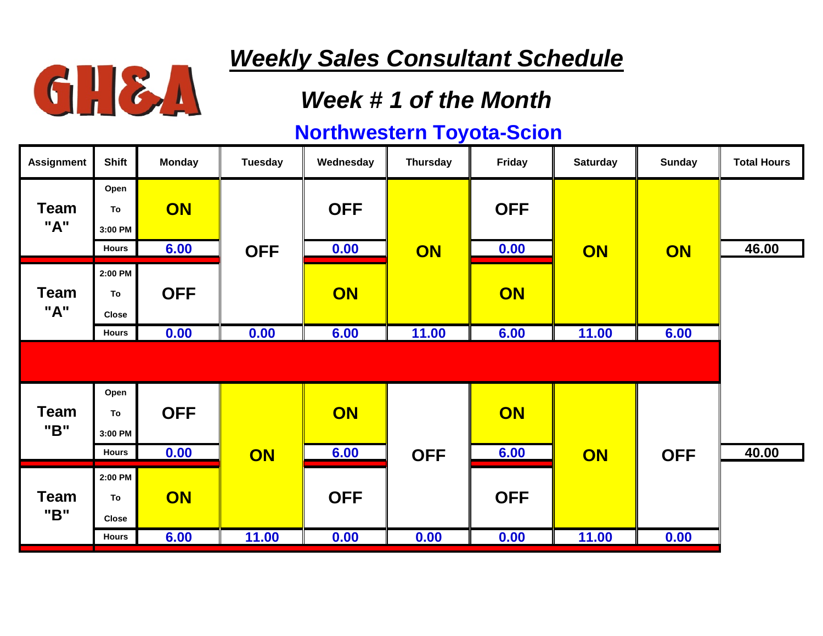

### *Week # 1 of the Month*

| <b>Assignment</b>  | <b>Shift</b>                  | <b>Monday</b> | Tuesday    | Wednesday  | <b>Thursday</b> | Friday     | <b>Saturday</b> | <b>Sunday</b> | <b>Total Hours</b> |
|--------------------|-------------------------------|---------------|------------|------------|-----------------|------------|-----------------|---------------|--------------------|
| <b>Team</b><br>"A" | Open<br>To<br>3:00 PM         | <b>ON</b>     |            | <b>OFF</b> | ON              | <b>OFF</b> | ON              | ON            |                    |
|                    | <b>Hours</b>                  | 6.00          | <b>OFF</b> | 0.00       |                 | 0.00       |                 |               | 46.00              |
| <b>Team</b><br>"A" | 2:00 PM<br>To<br><b>Close</b> | <b>OFF</b>    |            | ON         |                 | ON         |                 |               |                    |
|                    | <b>Hours</b>                  | 0.00          | 0.00       | 6.00       | 11.00           | 6.00       | 11.00           | 6.00          |                    |
|                    |                               |               |            |            |                 |            |                 |               |                    |
| <b>Team</b><br>"B" | Open<br>To<br>3:00 PM         | <b>OFF</b>    |            | ON         |                 | ON         |                 |               |                    |
|                    | <b>Hours</b>                  | 0.00          | ON         | 6.00       | <b>OFF</b>      | 6.00       | ON              | <b>OFF</b>    | 40.00              |
| <b>Team</b><br>"B" | 2:00 PM<br>To<br><b>Close</b> | ON            |            | <b>OFF</b> |                 | <b>OFF</b> |                 |               |                    |
|                    | Hours                         | 6.00          | 11.00      | 0.00       | 0.00            | 0.00       | 11.00           | 0.00          |                    |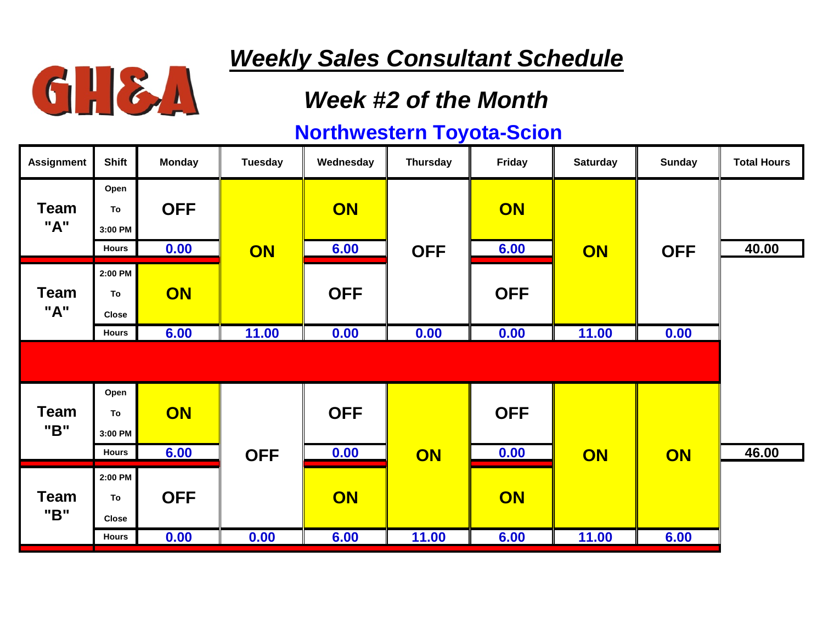

### *Week #2 of the Month*

| <b>Assignment</b>  | <b>Shift</b>                          | <b>Monday</b>      | Tuesday    | Wednesday  | <b>Thursday</b> | Friday     | <b>Saturday</b> | <b>Sunday</b> | <b>Total Hours</b> |
|--------------------|---------------------------------------|--------------------|------------|------------|-----------------|------------|-----------------|---------------|--------------------|
| <b>Team</b><br>"A" | Open<br>To<br>3:00 PM<br><b>Hours</b> | <b>OFF</b><br>0.00 | ON         | ON<br>6.00 | <b>OFF</b>      | ON<br>6.00 | ON              | <b>OFF</b>    | 40.00              |
| <b>Team</b><br>"A" | 2:00 PM<br>To<br><b>Close</b>         | ON                 |            | <b>OFF</b> |                 | <b>OFF</b> |                 |               |                    |
|                    | <b>Hours</b>                          | 6.00               | 11.00      | 0.00       | 0.00            | 0.00       | 11.00           | 0.00          |                    |
|                    |                                       |                    |            |            |                 |            |                 |               |                    |
| <b>Team</b><br>"B" | Open<br>To<br>3:00 PM                 | ON                 |            | <b>OFF</b> |                 | <b>OFF</b> |                 |               |                    |
|                    | <b>Hours</b>                          | 6.00               | <b>OFF</b> | 0.00       | ON              | 0.00       | ON              | ON            | 46.00              |
| <b>Team</b><br>"B" | 2:00 PM<br>To<br><b>Close</b>         | <b>OFF</b>         |            | ON         |                 | ON         |                 |               |                    |
|                    | <b>Hours</b>                          | 0.00               | 0.00       | 6.00       | 11.00           | 6.00       | 11.00           | 6.00          |                    |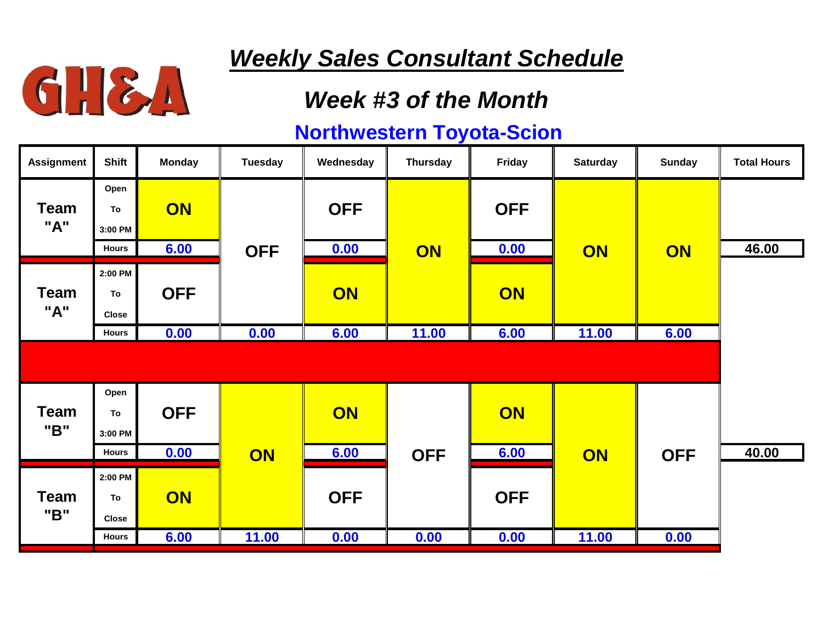

### *Week #3 of the Month*

| <b>Assignment</b>  | <b>Shift</b>                  | <b>Monday</b> | Tuesday    | Wednesday  | <b>Thursday</b> | Friday     | <b>Saturday</b> | <b>Sunday</b> | <b>Total Hours</b> |
|--------------------|-------------------------------|---------------|------------|------------|-----------------|------------|-----------------|---------------|--------------------|
| <b>Team</b><br>"A" | Open<br>To<br>3:00 PM         | <b>ON</b>     |            | <b>OFF</b> | ON              | <b>OFF</b> | ON              | ON            |                    |
|                    | <b>Hours</b>                  | 6.00          | <b>OFF</b> | 0.00       |                 | 0.00       |                 |               | 46.00              |
| <b>Team</b><br>"A" | 2:00 PM<br>To<br><b>Close</b> | <b>OFF</b>    |            | ON         |                 | ON         |                 |               |                    |
|                    | <b>Hours</b>                  | 0.00          | 0.00       | 6.00       | 11.00           | 6.00       | 11.00           | 6.00          |                    |
|                    |                               |               |            |            |                 |            |                 |               |                    |
| <b>Team</b><br>"B" | Open<br>To<br>3:00 PM         | <b>OFF</b>    |            | ON         |                 | ON         |                 |               |                    |
|                    | <b>Hours</b>                  | 0.00          | ON         | 6.00       | <b>OFF</b>      | 6.00       | ON              | <b>OFF</b>    | 40.00              |
| <b>Team</b><br>"B" | 2:00 PM<br>To<br><b>Close</b> | ON            |            | <b>OFF</b> |                 | <b>OFF</b> |                 |               |                    |
|                    | <b>Hours</b>                  | 6.00          | 11.00      | 0.00       | 0.00            | 0.00       | 11.00           | 0.00          |                    |